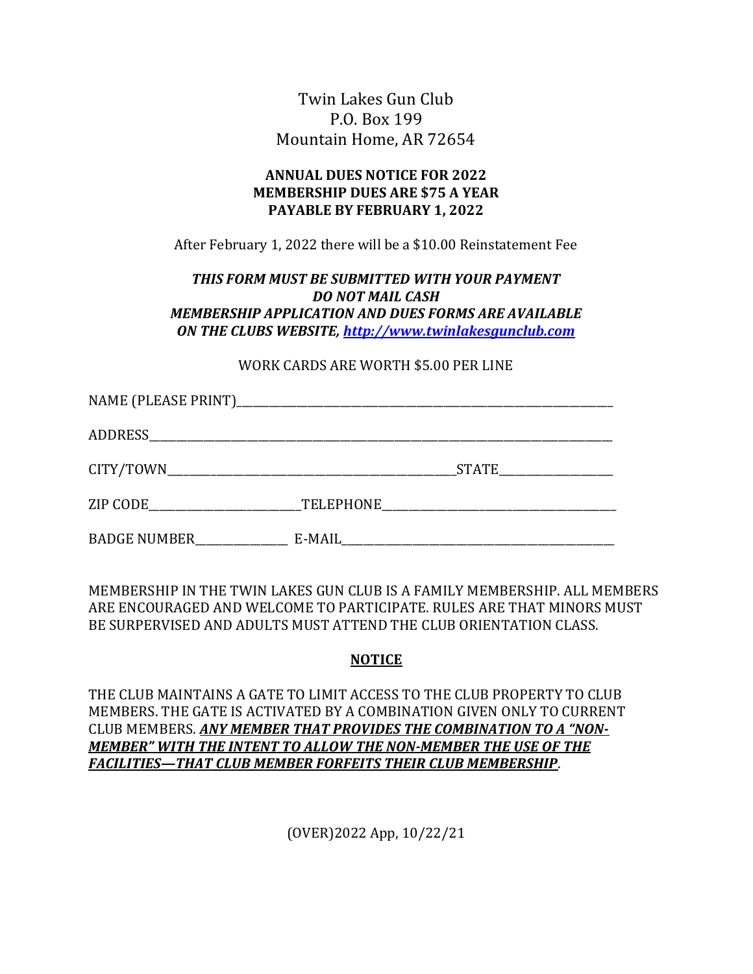Twin Lakes Gun Club P.O. Box 199 Mountain Home, AR 72654

### ANNUAL DUES NOTICE FOR 2022 MEMBERSHIP DUES ARE \$75 A YEAR PAYABLE BY FEBRUARY 1, 2022

After February 1, 2022 there will be a \$10.00 Reinstatement Fee

### THIS FORM MUST BE SUBMITTED WITH YOUR PAYMENT DO NOT MAIL CASH MEMBERSHIP APPLICATION AND DUES FORMS ARE AVAILABLE ON THE CLUBS WEBSITE, http://www.twinlakesgunclub.com

#### WORK CARDS ARE WORTH \$5.00 PER LINE

|              |           | <b>STATE</b> |  |
|--------------|-----------|--------------|--|
| ZIP CODE     | TELEPHONE |              |  |
| BADGE NUMBER | E-MAIL    |              |  |

MEMBERSHIP IN THE TWIN LAKES GUN CLUB IS A FAMILY MEMBERSHIP. ALL MEMBERS ARE ENCOURAGED AND WELCOME TO PARTICIPATE. RULES ARE THAT MINORS MUST BE SURPERVISED AND ADULTS MUST ATTEND THE CLUB ORIENTATION CLASS.

### NOTICE

THE CLUB MAINTAINS A GATE TO LIMIT ACCESS TO THE CLUB PROPERTY TO CLUB MEMBERS. THE GATE IS ACTIVATED BY A COMBINATION GIVEN ONLY TO CURRENT CLUB MEMBERS. ANY MEMBER THAT PROVIDES THE COMBINATION TO A "NON-MEMBER" WITH THE INTENT TO ALLOW THE NON-MEMBER THE USE OF THE FACILITIES—THAT CLUB MEMBER FORFEITS THEIR CLUB MEMBERSHIP.

(OVER)2022 App, 10/22/21